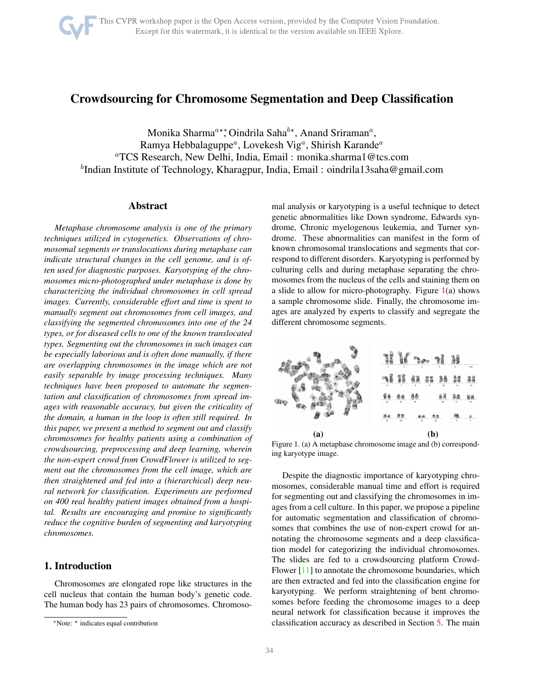

# <span id="page-0-1"></span>Crowdsourcing for Chromosome Segmentation and Deep Classification

Monika Sharma<sup>a∗</sup>\*, Oindrila Saha<sup>b</sup>\*, Anand Sriraman<sup>a</sup>, Ramya Hebbalaguppe<sup>a</sup>, Lovekesh Vig<sup>a</sup>, Shirish Karande<sup>a</sup> <sup>a</sup>TCS Research, New Delhi, India, Email : monika.sharma1@tcs.com <sup>b</sup>Indian Institute of Technology, Kharagpur, India, Email : oindrila13saha@gmail.com

## Abstract

*Metaphase chromosome analysis is one of the primary techniques utilized in cytogenetics. Observations of chromosomal segments or translocations during metaphase can indicate structural changes in the cell genome, and is often used for diagnostic purposes. Karyotyping of the chromosomes micro-photographed under metaphase is done by characterizing the individual chromosomes in cell spread images. Currently, considerable effort and time is spent to manually segment out chromosomes from cell images, and classifying the segmented chromosomes into one of the 24 types, or for diseased cells to one of the known translocated types. Segmenting out the chromosomes in such images can be especially laborious and is often done manually, if there are overlapping chromosomes in the image which are not easily separable by image processing techniques. Many techniques have been proposed to automate the segmentation and classification of chromosomes from spread images with reasonable accuracy, but given the criticality of the domain, a human in the loop is often still required. In this paper, we present a method to segment out and classify chromosomes for healthy patients using a combination of crowdsourcing, preprocessing and deep learning, wherein the non-expert crowd from CrowdFlower is utilized to segment out the chromosomes from the cell image, which are then straightened and fed into a (hierarchical) deep neural network for classification. Experiments are performed on 400 real healthy patient images obtained from a hospital. Results are encouraging and promise to significantly reduce the cognitive burden of segmenting and karyotyping chromosomes.*

# 1. Introduction

Chromosomes are elongated rope like structures in the cell nucleus that contain the human body's genetic code. The human body has 23 pairs of chromosomes. Chromosomal analysis or karyotyping is a useful technique to detect genetic abnormalities like Down syndrome, Edwards syndrome, Chronic myelogenous leukemia, and Turner syndrome. These abnormalities can manifest in the form of known chromosomal translocations and segments that correspond to different disorders. Karyotyping is performed by culturing cells and during metaphase separating the chromosomes from the nucleus of the cells and staining them on a slide to allow for micro-photography. Figure  $1(a)$  $1(a)$  shows a sample chromosome slide. Finally, the chromosome images are analyzed by experts to classify and segregate the different chromosome segments.



<span id="page-0-0"></span>Figure 1. (a) A metaphase chromosome image and (b) corresponding karyotype image.

Despite the diagnostic importance of karyotyping chromosomes, considerable manual time and effort is required for segmenting out and classifying the chromosomes in images from a cell culture. In this paper, we propose a pipeline for automatic segmentation and classification of chromosomes that combines the use of non-expert crowd for annotating the chromosome segments and a deep classification model for categorizing the individual chromosomes. The slides are fed to a crowdsourcing platform Crowd-Flower [\[11\]](#page-7-0) to annotate the chromosome boundaries, which are then extracted and fed into the classification engine for karyotyping. We perform straightening of bent chromosomes before feeding the chromosome images to a deep neural network for classification because it improves the classification accuracy as described in Section [5.](#page-5-0) The main

<sup>∗</sup>Note: <sup>⋆</sup> indicates equal contribution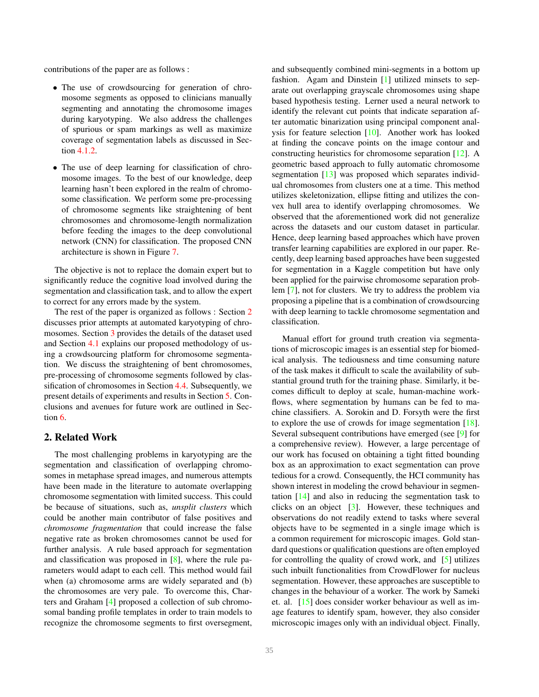<span id="page-1-1"></span>contributions of the paper are as follows :

- The use of crowdsourcing for generation of chromosome segments as opposed to clinicians manually segmenting and annotating the chromosome images during karyotyping. We also address the challenges of spurious or spam markings as well as maximize coverage of segmentation labels as discussed in Section [4.1.2.](#page-3-0)
- The use of deep learning for classification of chromosome images. To the best of our knowledge, deep learning hasn't been explored in the realm of chromosome classification. We perform some pre-processing of chromosome segments like straightening of bent chromosomes and chromosome-length normalization before feeding the images to the deep convolutional network (CNN) for classification. The proposed CNN architecture is shown in Figure [7.](#page-5-1)

The objective is not to replace the domain expert but to significantly reduce the cognitive load involved during the segmentation and classification task, and to allow the expert to correct for any errors made by the system.

The rest of the paper is organized as follows : Section [2](#page-1-0) discusses prior attempts at automated karyotyping of chromosomes. Section [3](#page-2-0) provides the details of the dataset used and Section [4.1](#page-2-1) explains our proposed methodology of using a crowdsourcing platform for chromosome segmentation. We discuss the straightening of bent chromosomes, pre-processing of chromosome segments followed by classification of chromosomes in Section [4.4.](#page-5-2) Subsequently, we present details of experiments and results in Section [5.](#page-5-0) Conclusions and avenues for future work are outlined in Section [6.](#page-6-0)

# <span id="page-1-0"></span>2. Related Work

The most challenging problems in karyotyping are the segmentation and classification of overlapping chromosomes in metaphase spread images, and numerous attempts have been made in the literature to automate overlapping chromosome segmentation with limited success. This could be because of situations, such as, *unsplit clusters* which could be another main contributor of false positives and *chromosome fragmentation* that could increase the false negative rate as broken chromosomes cannot be used for further analysis. A rule based approach for segmentation and classification was proposed in [\[8\]](#page-7-1), where the rule parameters would adapt to each cell. This method would fail when (a) chromosome arms are widely separated and (b) the chromosomes are very pale. To overcome this, Charters and Graham [\[4\]](#page-7-2) proposed a collection of sub chromosomal banding profile templates in order to train models to recognize the chromosome segments to first oversegment, and subsequently combined mini-segments in a bottom up fashion. Agam and Dinstein [\[1\]](#page-7-3) utilized minsets to separate out overlapping grayscale chromosomes using shape based hypothesis testing. Lerner used a neural network to identify the relevant cut points that indicate separation after automatic binarization using principal component analysis for feature selection [\[10\]](#page-7-4). Another work has looked at finding the concave points on the image contour and constructing heuristics for chromosome separation [\[12\]](#page-7-5). A geometric based approach to fully automatic chromosome segmentation [\[13\]](#page-7-6) was proposed which separates individual chromosomes from clusters one at a time. This method utilizes skeletonization, ellipse fitting and utilizes the convex hull area to identify overlapping chromosomes. We observed that the aforementioned work did not generalize across the datasets and our custom dataset in particular. Hence, deep learning based approaches which have proven transfer learning capabilities are explored in our paper. Recently, deep learning based approaches have been suggested for segmentation in a Kaggle competition but have only been applied for the pairwise chromosome separation problem [\[7\]](#page-7-7), not for clusters. We try to address the problem via proposing a pipeline that is a combination of crowdsourcing with deep learning to tackle chromosome segmentation and classification.

Manual effort for ground truth creation via segmentations of microscopic images is an essential step for biomedical analysis. The tediousness and time consuming nature of the task makes it difficult to scale the availability of substantial ground truth for the training phase. Similarly, it becomes difficult to deploy at scale, human-machine workflows, where segmentation by humans can be fed to machine classifiers. A. Sorokin and D. Forsyth were the first to explore the use of crowds for image segmentation [\[18\]](#page-7-8). Several subsequent contributions have emerged (see [\[9\]](#page-7-9) for a comprehensive review). However, a large percentage of our work has focused on obtaining a tight fitted bounding box as an approximation to exact segmentation can prove tedious for a crowd. Consequently, the HCI community has shown interest in modeling the crowd behaviour in segmentation [\[14\]](#page-7-10) and also in reducing the segmentation task to clicks on an object [\[3\]](#page-7-11). However, these techniques and observations do not readily extend to tasks where several objects have to be segmented in a single image which is a common requirement for microscopic images. Gold standard questions or qualification questions are often employed for controlling the quality of crowd work, and [\[5\]](#page-7-12) utilizes such inbuilt functionalities from CrowdFlower for nucleus segmentation. However, these approaches are susceptible to changes in the behaviour of a worker. The work by Sameki et. al. [\[15\]](#page-7-13) does consider worker behaviour as well as image features to identify spam, however, they also consider microscopic images only with an individual object. Finally,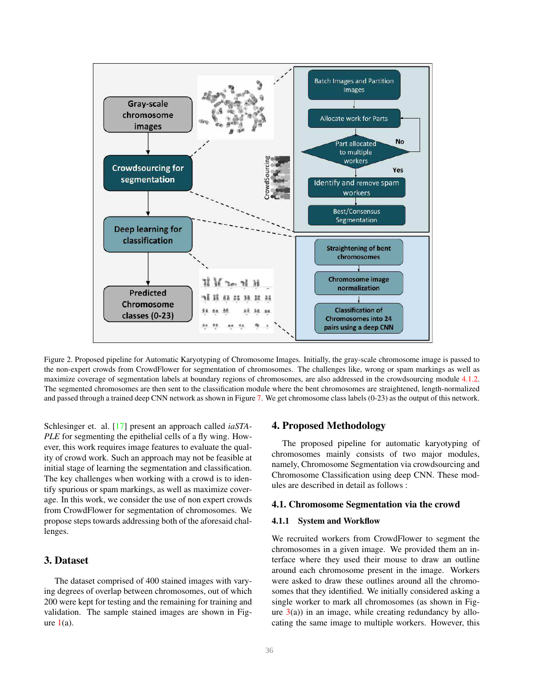<span id="page-2-2"></span>

Figure 2. Proposed pipeline for Automatic Karyotyping of Chromosome Images. Initially, the gray-scale chromosome image is passed to the non-expert crowds from CrowdFlower for segmentation of chromosomes. The challenges like, wrong or spam markings as well as maximize coverage of segmentation labels at boundary regions of chromosomes, are also addressed in the crowdsourcing module [4.1.2.](#page-3-0) The segmented chromosomes are then sent to the classification module where the bent chromosomes are straightened, length-normalized and passed through a trained deep CNN network as shown in Figure [7.](#page-5-1) We get chromosome class labels (0-23) as the output of this network.

Schlesinger et. al. [\[17\]](#page-7-14) present an approach called *iaSTA-PLE* for segmenting the epithelial cells of a fly wing. However, this work requires image features to evaluate the quality of crowd work. Such an approach may not be feasible at initial stage of learning the segmentation and classification. The key challenges when working with a crowd is to identify spurious or spam markings, as well as maximize coverage. In this work, we consider the use of non expert crowds from CrowdFlower for segmentation of chromosomes. We propose steps towards addressing both of the aforesaid challenges.

# <span id="page-2-0"></span>3. Dataset

The dataset comprised of 400 stained images with varying degrees of overlap between chromosomes, out of which 200 were kept for testing and the remaining for training and validation. The sample stained images are shown in Figure  $1(a)$  $1(a)$ .

# 4. Proposed Methodology

The proposed pipeline for automatic karyotyping of chromosomes mainly consists of two major modules, namely, Chromosome Segmentation via crowdsourcing and Chromosome Classification using deep CNN. These modules are described in detail as follows :

## <span id="page-2-1"></span>4.1. Chromosome Segmentation via the crowd

#### 4.1.1 System and Workflow

We recruited workers from CrowdFlower to segment the chromosomes in a given image. We provided them an interface where they used their mouse to draw an outline around each chromosome present in the image. Workers were asked to draw these outlines around all the chromosomes that they identified. We initially considered asking a single worker to mark all chromosomes (as shown in Figure  $3(a)$  $3(a)$ ) in an image, while creating redundancy by allocating the same image to multiple workers. However, this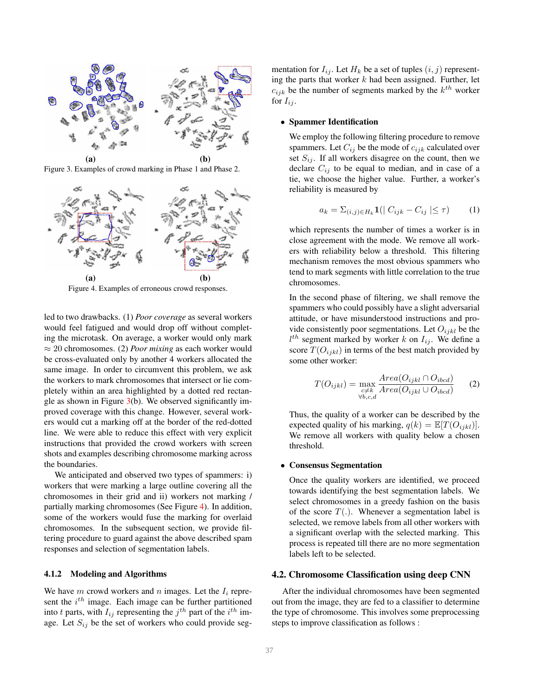

<span id="page-3-1"></span>Figure 3. Examples of crowd marking in Phase 1 and Phase 2.



<span id="page-3-2"></span>Figure 4. Examples of erroneous crowd responses.

led to two drawbacks. (1) *Poor coverage* as several workers would feel fatigued and would drop off without completing the microtask. On average, a worker would only mark ≈ 20 chromosomes. (2) *Poor mixing* as each worker would be cross-evaluated only by another 4 workers allocated the same image. In order to circumvent this problem, we ask the workers to mark chromosomes that intersect or lie completely within an area highlighted by a dotted red rectangle as shown in Figure  $3(b)$  $3(b)$ . We observed significantly improved coverage with this change. However, several workers would cut a marking off at the border of the red-dotted line. We were able to reduce this effect with very explicit instructions that provided the crowd workers with screen shots and examples describing chromosome marking across the boundaries.

We anticipated and observed two types of spammers: i) workers that were marking a large outline covering all the chromosomes in their grid and ii) workers not marking / partially marking chromosomes (See Figure [4\)](#page-3-2). In addition, some of the workers would fuse the marking for overlaid chromosomes. In the subsequent section, we provide filtering procedure to guard against the above described spam responses and selection of segmentation labels.

### <span id="page-3-0"></span>4.1.2 Modeling and Algorithms

We have  $m$  crowd workers and  $n$  images. Let the  $I_i$  represent the  $i^{th}$  image. Each image can be further partitioned into t parts, with  $I_{ij}$  representing the  $j^{th}$  part of the  $i^{th}$  image. Let  $S_{ij}$  be the set of workers who could provide segmentation for  $I_{ij}$ . Let  $H_k$  be a set of tuples  $(i, j)$  representing the parts that worker  $k$  had been assigned. Further, let  $c_{ijk}$  be the number of segments marked by the  $k^{th}$  worker for  $I_{ij}$ .

### • Spammer Identification

We employ the following filtering procedure to remove spammers. Let  $C_{ij}$  be the mode of  $c_{ijk}$  calculated over set  $S_{ij}$ . If all workers disagree on the count, then we declare  $C_{ij}$  to be equal to median, and in case of a tie, we choose the higher value. Further, a worker's reliability is measured by

$$
a_k = \sum_{(i,j)\in H_k} \mathbf{1}(|C_{ijk} - C_{ij}| \le \tau)
$$
 (1)

which represents the number of times a worker is in close agreement with the mode. We remove all workers with reliability below a threshold. This filtering mechanism removes the most obvious spammers who tend to mark segments with little correlation to the true chromosomes.

In the second phase of filtering, we shall remove the spammers who could possibly have a slight adversarial attitude, or have misunderstood instructions and provide consistently poor segmentations. Let  $O_{ijkl}$  be the  $l^{th}$  segment marked by worker k on  $I_{ij}$ . We define a score  $T(O_{ijkl})$  in terms of the best match provided by some other worker:

$$
T(O_{ijkl}) = \max_{\substack{c \neq k \\ \forall b,c,d}} \frac{Area(O_{ijkl} \cap O_{ibcd})}{Area(O_{ijkl} \cup O_{ibcd})}
$$
 (2)

Thus, the quality of a worker can be described by the expected quality of his marking,  $q(k) = \mathbb{E}[T(O_{ijkl})]$ . We remove all workers with quality below a chosen threshold.

## • Consensus Segmentation

Once the quality workers are identified, we proceed towards identifying the best segmentation labels. We select chromosomes in a greedy fashion on the basis of the score  $T(.)$ . Whenever a segmentation label is selected, we remove labels from all other workers with a significant overlap with the selected marking. This process is repeated till there are no more segmentation labels left to be selected.

# 4.2. Chromosome Classification using deep CNN

After the individual chromosomes have been segmented out from the image, they are fed to a classifier to determine the type of chromosome. This involves some preprocessing steps to improve classification as follows :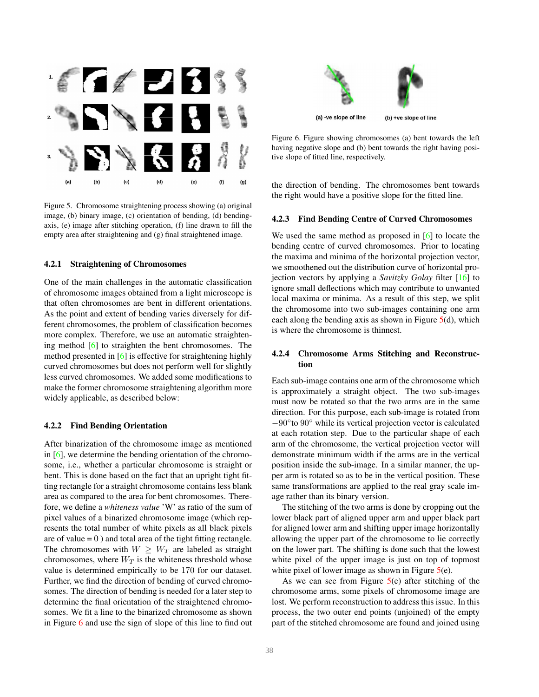<span id="page-4-3"></span>

<span id="page-4-1"></span>Figure 5. Chromosome straightening process showing (a) original image, (b) binary image, (c) orientation of bending, (d) bendingaxis, (e) image after stitching operation, (f) line drawn to fill the empty area after straightening and (g) final straightened image.

#### 4.2.1 Straightening of Chromosomes

One of the main challenges in the automatic classification of chromosome images obtained from a light microscope is that often chromosomes are bent in different orientations. As the point and extent of bending varies diversely for different chromosomes, the problem of classification becomes more complex. Therefore, we use an automatic straightening method  $[6]$  to straighten the bent chromosomes. The method presented in [\[6\]](#page-7-15) is effective for straightening highly curved chromosomes but does not perform well for slightly less curved chromosomes. We added some modifications to make the former chromosome straightening algorithm more widely applicable, as described below:

## 4.2.2 Find Bending Orientation

After binarization of the chromosome image as mentioned in [\[6\]](#page-7-15), we determine the bending orientation of the chromosome, i.e., whether a particular chromosome is straight or bent. This is done based on the fact that an upright tight fitting rectangle for a straight chromosome contains less blank area as compared to the area for bent chromosomes. Therefore, we define a *whiteness value* 'W' as ratio of the sum of pixel values of a binarized chromosome image (which represents the total number of white pixels as all black pixels are of value  $= 0$ ) and total area of the tight fitting rectangle. The chromosomes with  $W \geq W_T$  are labeled as straight chromosomes, where  $W_T$  is the whiteness threshold whose value is determined empirically to be 170 for our dataset. Further, we find the direction of bending of curved chromosomes. The direction of bending is needed for a later step to determine the final orientation of the straightened chromosomes. We fit a line to the binarized chromosome as shown in Figure [6](#page-4-0) and use the sign of slope of this line to find out



<span id="page-4-0"></span>Figure 6. Figure showing chromosomes (a) bent towards the left having negative slope and (b) bent towards the right having positive slope of fitted line, respectively.

the direction of bending. The chromosomes bent towards the right would have a positive slope for the fitted line.

### <span id="page-4-2"></span>4.2.3 Find Bending Centre of Curved Chromosomes

We used the same method as proposed in [\[6\]](#page-7-15) to locate the bending centre of curved chromosomes. Prior to locating the maxima and minima of the horizontal projection vector, we smoothened out the distribution curve of horizontal projection vectors by applying a *Savitzky Golay* filter [\[16\]](#page-7-16) to ignore small deflections which may contribute to unwanted local maxima or minima. As a result of this step, we split the chromosome into two sub-images containing one arm each along the bending axis as shown in Figure  $5(d)$  $5(d)$ , which is where the chromosome is thinnest.

# 4.2.4 Chromosome Arms Stitching and Reconstruction

Each sub-image contains one arm of the chromosome which is approximately a straight object. The two sub-images must now be rotated so that the two arms are in the same direction. For this purpose, each sub-image is rotated from −90◦ to 90◦ while its vertical projection vector is calculated at each rotation step. Due to the particular shape of each arm of the chromosome, the vertical projection vector will demonstrate minimum width if the arms are in the vertical position inside the sub-image. In a similar manner, the upper arm is rotated so as to be in the vertical position. These same transformations are applied to the real gray scale image rather than its binary version.

The stitching of the two arms is done by cropping out the lower black part of aligned upper arm and upper black part for aligned lower arm and shifting upper image horizontally allowing the upper part of the chromosome to lie correctly on the lower part. The shifting is done such that the lowest white pixel of the upper image is just on top of topmost white pixel of lower image as shown in Figure  $5(e)$  $5(e)$ .

As we can see from Figure  $5(e)$  $5(e)$  after stitching of the chromosome arms, some pixels of chromosome image are lost. We perform reconstruction to address this issue. In this process, the two outer end points (unjoined) of the empty part of the stitched chromosome are found and joined using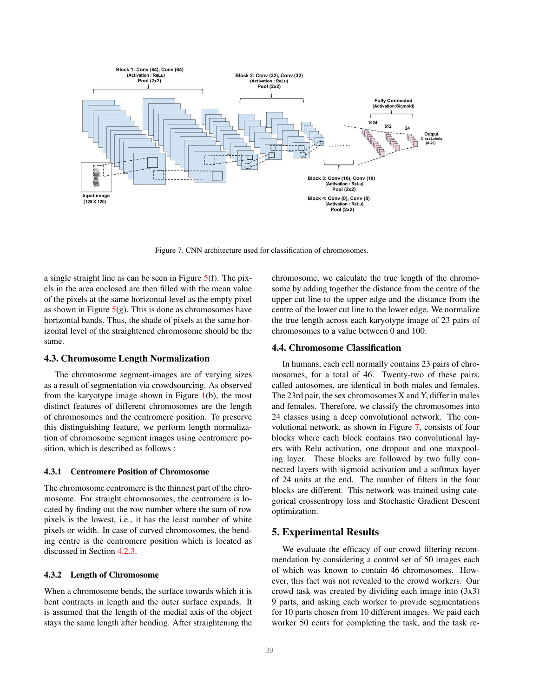

<span id="page-5-1"></span>Figure 7. CNN architecture used for classification of chromosomes.

a single straight line as can be seen in Figure [5\(](#page-4-1)f). The pixels in the area enclosed are then filled with the mean value of the pixels at the same horizontal level as the empty pixel as shown in Figure  $5(g)$  $5(g)$ . This is done as chromosomes have horizontal bands. Thus, the shade of pixels at the same horizontal level of the straightened chromosome should be the same.

#### 4.3. Chromosome Length Normalization

The chromosome segment-images are of varying sizes as a result of segmentation via crowdsourcing. As observed from the karyotype image shown in Figure  $1(b)$  $1(b)$ , the most distinct features of different chromosomes are the length of chromosomes and the centromere position. To preserve this distinguishing feature, we perform length normalization of chromosome segment images using centromere position, which is described as follows :

#### 4.3.1 Centromere Position of Chromosome

The chromosome centromere is the thinnest part of the chromosome. For straight chromosomes, the centromere is located by finding out the row number where the sum of row pixels is the lowest, i.e., it has the least number of white pixels or width. In case of curved chromosomes, the bending centre is the centromere position which is located as discussed in Section [4.2.3.](#page-4-2)

## 4.3.2 Length of Chromosome

When a chromosome bends, the surface towards which it is bent contracts in length and the outer surface expands. It is assumed that the length of the medial axis of the object stays the same length after bending. After straightening the chromosome, we calculate the true length of the chromosome by adding together the distance from the centre of the upper cut line to the upper edge and the distance from the centre of the lower cut line to the lower edge. We normalize the true length across each karyotype image of 23 pairs of chromosomes to a value between 0 and 100.

# <span id="page-5-2"></span>4.4. Chromosome Classification

In humans, each cell normally contains 23 pairs of chromosomes, for a total of 46. Twenty-two of these pairs, called autosomes, are identical in both males and females. The 23rd pair, the sex chromosomes X and Y, differ in males and females. Therefore, we classify the chromosomes into 24 classes using a deep convolutional network. The convolutional network, as shown in Figure [7,](#page-5-1) consists of four blocks where each block contains two convolutional layers with Relu activation, one dropout and one maxpooling layer. These blocks are followed by two fully connected layers with sigmoid activation and a softmax layer of 24 units at the end. The number of filters in the four blocks are different. This network was trained using categorical crossentropy loss and Stochastic Gradient Descent optimization.

# <span id="page-5-0"></span>5. Experimental Results

We evaluate the efficacy of our crowd filtering recommendation by considering a control set of 50 images each of which was known to contain 46 chromosomes. However, this fact was not revealed to the crowd workers. Our crowd task was created by dividing each image into (3x3) 9 parts, and asking each worker to provide segmentations for 10 parts chosen from 10 different images. We paid each worker 50 cents for completing the task, and the task re-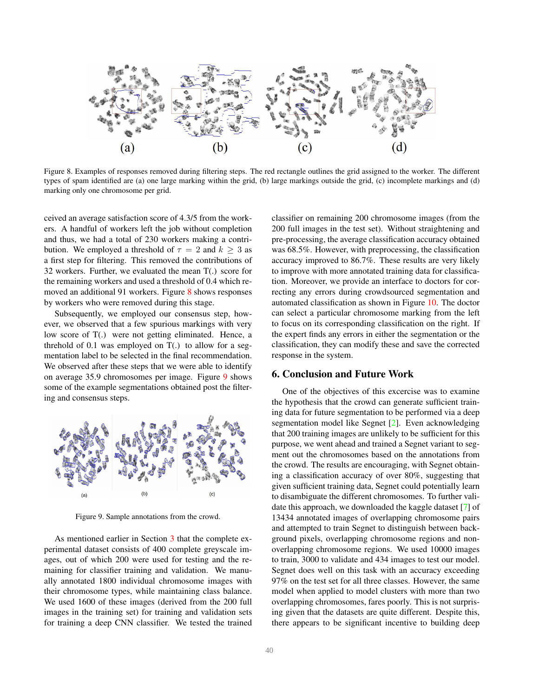<span id="page-6-3"></span>

<span id="page-6-1"></span>Figure 8. Examples of responses removed during filtering steps. The red rectangle outlines the grid assigned to the worker. The different types of spam identified are (a) one large marking within the grid, (b) large markings outside the grid, (c) incomplete markings and (d) marking only one chromosome per grid.

ceived an average satisfaction score of 4.3/5 from the workers. A handful of workers left the job without completion and thus, we had a total of 230 workers making a contribution. We employed a threshold of  $\tau = 2$  and  $k \geq 3$  as a first step for filtering. This removed the contributions of 32 workers. Further, we evaluated the mean T(.) score for the remaining workers and used a threshold of 0.4 which removed an additional 91 workers. Figure [8](#page-6-1) shows responses by workers who were removed during this stage.

Subsequently, we employed our consensus step, however, we observed that a few spurious markings with very low score of T(.) were not getting eliminated. Hence, a threhold of 0.1 was employed on  $T(.)$  to allow for a segmentation label to be selected in the final recommendation. We observed after these steps that we were able to identify on average 35.9 chromosomes per image. Figure [9](#page-6-2) shows some of the example segmentations obtained post the filtering and consensus steps.



<span id="page-6-2"></span>Figure 9. Sample annotations from the crowd.

As mentioned earlier in Section [3](#page-2-0) that the complete experimental dataset consists of 400 complete greyscale images, out of which 200 were used for testing and the remaining for classifier training and validation. We manually annotated 1800 individual chromosome images with their chromosome types, while maintaining class balance. We used 1600 of these images (derived from the 200 full images in the training set) for training and validation sets for training a deep CNN classifier. We tested the trained classifier on remaining 200 chromosome images (from the 200 full images in the test set). Without straightening and pre-processing, the average classification accuracy obtained was 68.5%. However, with preprocessing, the classification accuracy improved to 86.7%. These results are very likely to improve with more annotated training data for classification. Moreover, we provide an interface to doctors for correcting any errors during crowdsourced segmentation and automated classification as shown in Figure [10.](#page-7-17) The doctor can select a particular chromosome marking from the left to focus on its corresponding classification on the right. If the expert finds any errors in either the segmentation or the classification, they can modify these and save the corrected response in the system.

## <span id="page-6-0"></span>6. Conclusion and Future Work

One of the objectives of this excercise was to examine the hypothesis that the crowd can generate sufficient training data for future segmentation to be performed via a deep segmentation model like Segnet [\[2\]](#page-7-18). Even acknowledging that 200 training images are unlikely to be sufficient for this purpose, we went ahead and trained a Segnet variant to segment out the chromosomes based on the annotations from the crowd. The results are encouraging, with Segnet obtaining a classification accuracy of over 80%, suggesting that given sufficient training data, Segnet could potentially learn to disambiguate the different chromosomes. To further validate this approach, we downloaded the kaggle dataset [\[7\]](#page-7-7) of 13434 annotated images of overlapping chromosome pairs and attempted to train Segnet to distinguish between background pixels, overlapping chromosome regions and nonoverlapping chromosome regions. We used 10000 images to train, 3000 to validate and 434 images to test our model. Segnet does well on this task with an accuracy exceeding 97% on the test set for all three classes. However, the same model when applied to model clusters with more than two overlapping chromosomes, fares poorly. This is not surprising given that the datasets are quite different. Despite this, there appears to be significant incentive to building deep